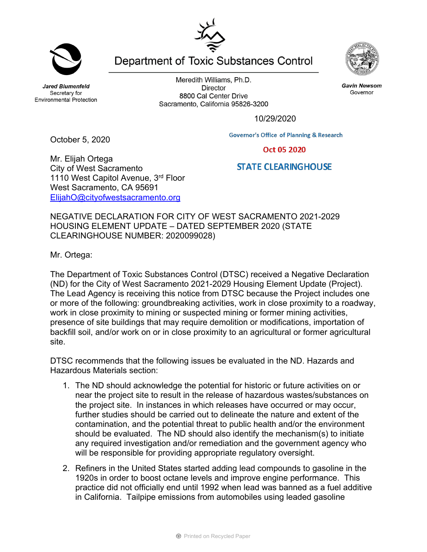**Jared Blumenfeld** Secretary for **Environmental Protection** 

Meredith Williams, Ph.D. **Director** 8800 Cal Center Drive Sacramento, California 95826-3200

Department of Toxic Substances Control



October 5, 2020

Mr. Elijah Ortega City of West Sacramento 1110 West Capitol Avenue, 3rd Floor West Sacramento, CA 95691 ElijahO@cityofwestsacramento.org

NEGATIVE DECLARATION FOR CITY OF WEST SACRAMENTO 2021-2029 HOUSING ELEMENT UPDATE – DATED SEPTEMBER 2020 (STATE CLEARINGHOUSE NUMBER: 2020099028)

Mr. Ortega:

The Department of Toxic Substances Control (DTSC) received a Negative Declaration (ND) for the City of West Sacramento 2021-2029 Housing Element Update (Project). The Lead Agency is receiving this notice from DTSC because the Project includes one or more of the following: groundbreaking activities, work in close proximity to a roadway, work in close proximity to mining or suspected mining or former mining activities, presence of site buildings that may require demolition or modifications, importation of backfill soil, and/or work on or in close proximity to an agricultural or former agricultural site.

DTSC recommends that the following issues be evaluated in the ND. Hazards and Hazardous Materials section:

- 1. The ND should acknowledge the potential for historic or future activities on or near the project site to result in the release of hazardous wastes/substances on the project site. In instances in which releases have occurred or may occur, further studies should be carried out to delineate the nature and extent of the contamination, and the potential threat to public health and/or the environment should be evaluated. The ND should also identify the mechanism(s) to initiate any required investigation and/or remediation and the government agency who will be responsible for providing appropriate regulatory oversight.
- 2. Refiners in the United States started adding lead compounds to gasoline in the 1920s in order to boost octane levels and improve engine performance. This practice did not officially end until 1992 when lead was banned as a fuel additive in California. Tailpipe emissions from automobiles using leaded gasoline



**Gavin Newsom** Governor

Oct 05 2020

## **STATE CLEARINGHOUSE**

**Governor's Office of Planning & Research** 

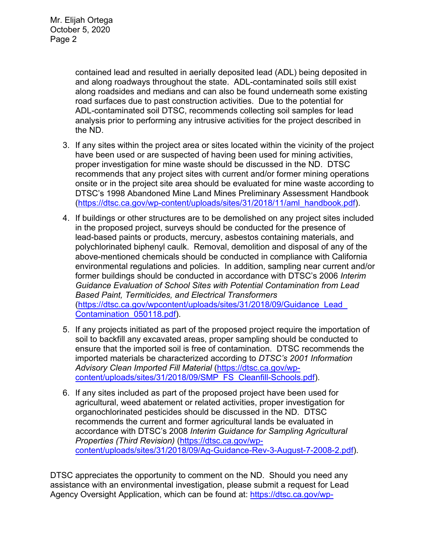contained lead and resulted in aerially deposited lead (ADL) being deposited in and along roadways throughout the state. ADL-contaminated soils still exist along roadsides and medians and can also be found underneath some existing road surfaces due to past construction activities. Due to the potential for ADL-contaminated soil DTSC, recommends collecting soil samples for lead analysis prior to performing any intrusive activities for the project described in the ND.

- 3. If any sites within the project area or sites located within the vicinity of the project have been used or are suspected of having been used for mining activities, proper investigation for mine waste should be discussed in the ND. DTSC recommends that any project sites with current and/or former mining operations onsite or in the project site area should be evaluated for mine waste according to DTSC's 1998 Abandoned Mine Land Mines Preliminary Assessment Handbook (https://dtsc.ca.gov/wp-content/uploads/sites/31/2018/11/aml\_handbook.pdf).
- 4. If buildings or other structures are to be demolished on any project sites included in the proposed project, surveys should be conducted for the presence of lead-based paints or products, mercury, asbestos containing materials, and polychlorinated biphenyl caulk. Removal, demolition and disposal of any of the above-mentioned chemicals should be conducted in compliance with California environmental regulations and policies. In addition, sampling near current and/or former buildings should be conducted in accordance with DTSC's 2006 *Interim Guidance Evaluation of School Sites with Potential Contamination from Lead Based Paint, Termiticides, and Electrical Transformers*  (https://dtsc.ca.gov/wpcontent/uploads/sites/31/2018/09/Guidance\_Lead\_ Contamination\_050118.pdf).
- 5. If any projects initiated as part of the proposed project require the importation of soil to backfill any excavated areas, proper sampling should be conducted to ensure that the imported soil is free of contamination. DTSC recommends the imported materials be characterized according to *DTSC's 2001 Information Advisory Clean Imported Fill Material* (https://dtsc.ca.gov/wpcontent/uploads/sites/31/2018/09/SMP\_FS\_Cleanfill-Schools.pdf).
- 6. If any sites included as part of the proposed project have been used for agricultural, weed abatement or related activities, proper investigation for organochlorinated pesticides should be discussed in the ND. DTSC recommends the current and former agricultural lands be evaluated in accordance with DTSC's 2008 *Interim Guidance for Sampling Agricultural Properties (Third Revision)* (https://dtsc.ca.gov/wpcontent/uploads/sites/31/2018/09/Ag-Guidance-Rev-3-August-7-2008-2.pdf).

DTSC appreciates the opportunity to comment on the ND. Should you need any assistance with an environmental investigation, please submit a request for Lead Agency Oversight Application, which can be found at: https://dtsc.ca.gov/wp